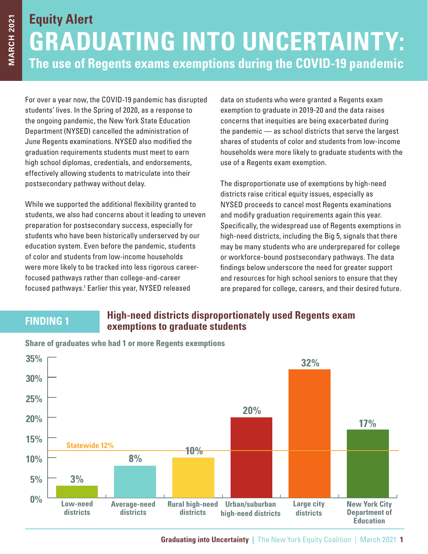# **Equity Alert GRADUATING INTO UNCERTAINTY: The use of Regents exams exemptions during the COVID-19 pandemic**

For over a year now, the COVID-19 pandemic has disrupted students' lives. In the Spring of 2020, as a response to the ongoing pandemic, the New York State Education Department (NYSED) cancelled the administration of June Regents examinations. NYSED also modified the graduation requirements students must meet to earn high school diplomas, credentials, and endorsements, effectively allowing students to matriculate into their postsecondary pathway without delay.

While we supported the additional flexibility granted to students, we also had concerns about it leading to uneven preparation for postsecondary success, especially for students who have been historically underserved by our education system. Even before the pandemic, students of color and students from low-income households were more likely to be tracked into less rigorous careerfocused pathways rather than college-and-career focused pathways.1 Earlier this year, NYSED released

data on students who were granted a Regents exam exemption to graduate in 2019-20 and the data raises concerns that inequities are being exacerbated during the pandemic — as school districts that serve the largest shares of students of color and students from low-income households were more likely to graduate students with the use of a Regents exam exemption.

The disproportionate use of exemptions by high-need districts raise critical equity issues, especially as NYSED proceeds to cancel most Regents examinations and modify graduation requirements again this year. Specifically, the widespread use of Regents exemptions in high-need districts, including the Big 5, signals that there may be many students who are underprepared for college or workforce-bound postsecondary pathways. The data findings below underscore the need for greater support and resources for high school seniors to ensure that they are prepared for college, careers, and their desired future.

#### **FINDING 1 High-need districts disproportionately used Regents exam exemptions to graduate students**



**Share of graduates who had 1 or more Regents exemptions**

**Graduating into Uncertainty |** The New York Equity Coalition | March 2021 **1**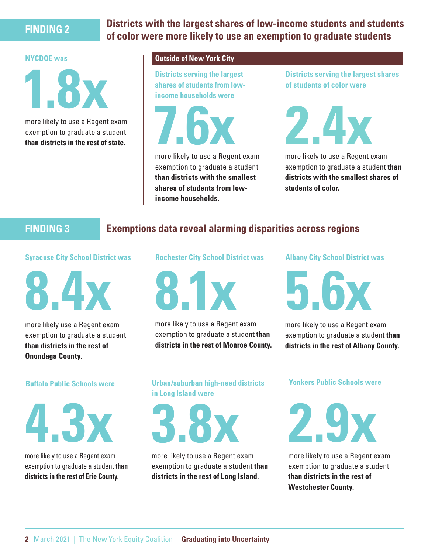#### **FINDING 2 Districts with the largest shares of low-income students and students of color were more likely to use an exemption to graduate students**

#### **NYCDOE was**



more likely to use a Regent exam exemption to graduate a student

#### **Outside of New York City**

**Districts serving the largest** 

more likely to use a Regent exameter and a student<br>than districts in the rest of state.

more likely to use a Regent exam exemption to graduate a student **than districts with the smallest shares of students from lowincome households.**

**Districts serving the largest shares of students of color were** 



more likely to use a Regent exam exemption to graduate a student **than districts with the smallest shares of students of color.**

# **FINDING 3 Exemptions data reveal alarming disparities across regions**

#### **Syracuse City School District was**



more likely use a Regent exam exemption to graduate a student **than districts in the rest of Onondaga County.**

#### **Rochester City School District was**



more likely to use a Regent exam exemption to graduate a student **than districts in the rest of Monroe County.** **Albany City School District was** 

more likely to use a Regent exam exemption to graduate a student **than districts in the rest of Albany County.**

#### **Buffalo Public Schools were**



more likely to use a Regent exam exemption to graduate a student **than districts in the rest of Erie County.**

**Urban/suburban high-need districts in Long Island were** 



more likely to use a Regent exam exemption to graduate a student **than districts in the rest of Long Island.**

**Yonkers Public Schools were**



more likely to use a Regent exam exemption to graduate a student **than districts in the rest of Westchester County.**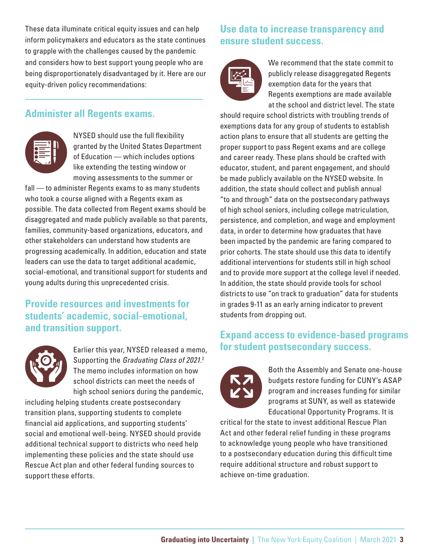These data illuminate critical equity issues and can help inform policymakers and educators as the state continues to grapple with the challenges caused by the pandemic and considers how to best support young people who are being disproportionately disadvantaged by it. Here are our equity-driven policy recommendations:

#### **Administer all Regents exams.**



NYSED should use the full flexibility granted by the United States Department of Education — which includes options like extending the testing window or moving assessments to the summer or

fall - to administer Regents exams to as many students who took a course aligned with a Regents exam as possible. The data collected from Regent exams should be disaggregated and made publicly available so that parents, families, community-based organizations, educators, and other stakeholders can understand how students are progressing academically. In addition, education and state leaders can use the data to target additional academic, social-emotional, and transitional support for students and young adults during this unprecedented crisis.

#### **Provide resources and investments for students' academic, social-emotional, and transition support.**



Earlier this year, NYSED released a memo, Supporting the *Graduating Class of 2021.* 2 The memo includes information on how school districts can meet the needs of high school seniors during the pandemic,

including helping students create postsecondary transition plans, supporting students to complete financial aid applications, and supporting students' social and emotional well-being. NYSED should provide additional technical support to districts who need help implementing these policies and the state should use Rescue Act plan and other federal funding sources to support these efforts.

# **Use data to increase transparency and ensure student success.**



We recommend that the state commit to publicly release disaggregated Regents exemption data for the years that Regents exemptions are made available at the school and district level. The state

should require school districts with troubling trends of exemptions data for any group of students to establish action plans to ensure that all students are getting the proper support to pass Regent exams and are college and career ready. These plans should be crafted with educator, student, and parent engagement, and should be made publicly available on the NYSED website. In addition, the state should collect and publish annual "to and through" data on the postsecondary pathways of high school seniors, including college matriculation, persistence, and completion, and wage and employment data, in order to determine how graduates that have been impacted by the pandemic are faring compared to prior cohorts. The state should use this data to identify additional interventions for students still in high school and to provide more support at the college level if needed. In addition, the state should provide tools for school districts to use "on track to graduation" data for students in grades 9-11 as an early arning indicator to prevent students from dropping out.

## **Expand access to evidence-based programs for student postsecondary success.**



Both the Assembly and Senate one-house budgets restore funding for CUNY's ASAP program and increases funding for similar programs at SUNY, as well as statewide Educational Opportunity Programs. It is

critical for the state to invest additional Rescue Plan Act and other federal relief funding in these programs to acknowledge young people who have transitioned to a postsecondary education during this difficult time require additional structure and robust support to achieve on-time graduation.